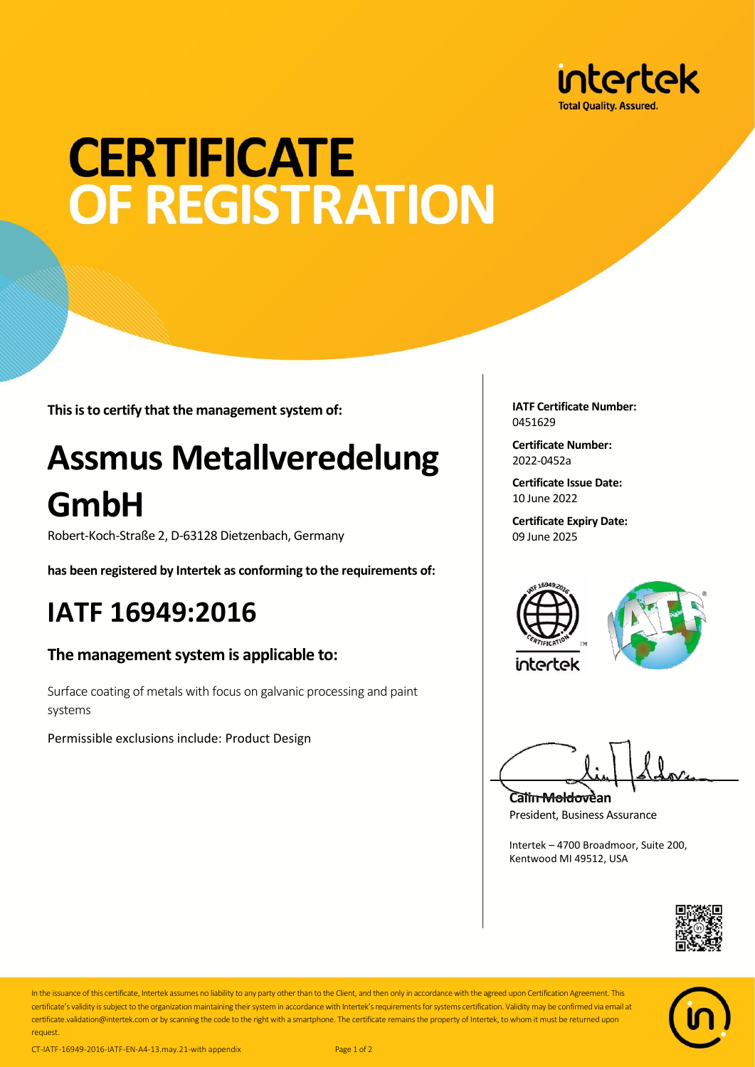

# **CERTIFICATE OF REGISTRATION**

**This is to certify that the management system of:**

## **Assmus Metallveredelung GmbH**

Robert-Koch-Straße 2, D-63128 Dietzenbach, Germany

**has been registered by Intertek as conforming to the requirements of:**

### **IATF 16949:2016**

#### **The management system is applicable to:**

Surface coating of metals with focus on galvanic processing and paint systems

Permissible exclusions include: Product Design

**IATF Certificate Number:** 0451629

**Certificate Number:** 2022-0452a

**Certificate Issue Date:** 10 June 2022

**Certificate Expiry Date:** 09 June 2025





**Calin Moldovean** President, Business Assurance

Intertek – 4700 Broadmoor, Suite 200, Kentwood MI 49512, USA





In the issuance of this certificate, Intertek assumes no liability to any party other than to the Client, and then only in accordance with the agreed upon Certification Agreement. This certificate's validity is subject to the organization maintaining their system in accordance with Intertek's requirements for systems certification. Validity may be confirmed via email at certificate.validation@intertek.com or by scanning the code to the right with a smartphone. The certificate remains the property of Intertek, to whom it must be returned upon request.